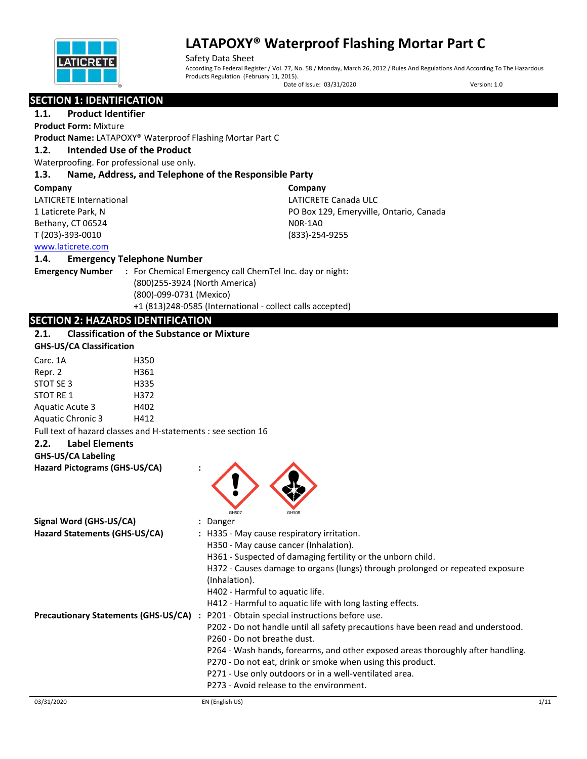

Safety Data Sheet According To Federal Register / Vol. 77, No. 58 / Monday, March 26, 2012 / Rules And Regulations And According To The Hazardous Products Regulation (February 11, 2015).

Date of Issue: 03/31/2020 Version: 1.0

# **SECTION 1: IDENTIFICATION**

# **1.1. Product Identifier**

**Product Form:** Mixture

**Product Name:** LATAPOXY® Waterproof Flashing Mortar Part C

#### **1.2. Intended Use of the Product**

Waterproofing. For professional use only.

### **1.3. Name, Address, and Telephone of the Responsible Party**

#### **Company**

LATICRETE International 1 Laticrete Park, N Bethany, CT 06524 T (203)-393-0010

**Company** LATICRETE Canada ULC PO Box 129, Emeryville, Ontario, Canada N0R-1A0 (833)-254-9255

### [www.laticrete.com](http://www.laticrete.com/)

#### **1.4. Emergency Telephone Number**

**Emergency Number :** For Chemical Emergency call ChemTel Inc. day or night: (800)255-3924 (North America) (800)-099-0731 (Mexico) +1 (813)248-0585 (International - collect calls accepted)

### **SECTION 2: HAZARDS IDENTIFICATION**

### **2.1. Classification of the Substance or Mixture**

#### **GHS-US/CA Classification**

| Carc. 1A                 | H350 |
|--------------------------|------|
| Repr. 2                  | H361 |
| STOT SE 3                | H335 |
| <b>STOT RE 1</b>         | H372 |
| <b>Aguatic Acute 3</b>   | H402 |
| <b>Aquatic Chronic 3</b> | H412 |

Full text of hazard classes and H-statements : see section 16

#### **2.2. Label Elements**

#### **GHS-US/CA Labeling**

**Hazard Pictograms (GHS-US/CA) :**



| Signal Word (GHS-US/CA)                     | : Danger                                                                         |      |
|---------------------------------------------|----------------------------------------------------------------------------------|------|
| Hazard Statements (GHS-US/CA)               | : H335 - May cause respiratory irritation.                                       |      |
|                                             | H350 - May cause cancer (Inhalation).                                            |      |
|                                             | H361 - Suspected of damaging fertility or the unborn child.                      |      |
|                                             | H372 - Causes damage to organs (lungs) through prolonged or repeated exposure    |      |
|                                             | (Inhalation).                                                                    |      |
|                                             | H402 - Harmful to aquatic life.                                                  |      |
|                                             | H412 - Harmful to aquatic life with long lasting effects.                        |      |
| <b>Precautionary Statements (GHS-US/CA)</b> | : P201 - Obtain special instructions before use.                                 |      |
|                                             | P202 - Do not handle until all safety precautions have been read and understood. |      |
|                                             | P <sub>260</sub> - Do not breathe dust.                                          |      |
|                                             | P264 - Wash hands, forearms, and other exposed areas thoroughly after handling.  |      |
|                                             | P270 - Do not eat, drink or smoke when using this product.                       |      |
|                                             | P271 - Use only outdoors or in a well-ventilated area.                           |      |
|                                             | P273 - Avoid release to the environment.                                         |      |
| 03/31/2020                                  | EN (English US)                                                                  | 1/11 |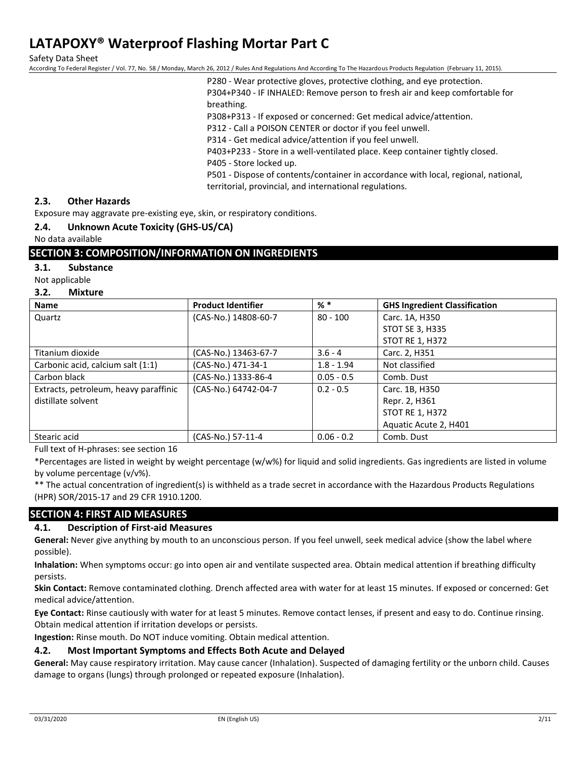Safety Data Sheet

According To Federal Register / Vol. 77, No. 58 / Monday, March 26, 2012 / Rules And Regulations And According To The Hazardous Products Regulation (February 11, 2015).

P280 - Wear protective gloves, protective clothing, and eye protection. P304+P340 - IF INHALED: Remove person to fresh air and keep comfortable for breathing.

P308+P313 - If exposed or concerned: Get medical advice/attention.

P312 - Call a POISON CENTER or doctor if you feel unwell.

P314 - Get medical advice/attention if you feel unwell.

P403+P233 - Store in a well-ventilated place. Keep container tightly closed.

P405 - Store locked up.

P501 - Dispose of contents/container in accordance with local, regional, national, territorial, provincial, and international regulations.

#### **2.3. Other Hazards**

Exposure may aggravate pre-existing eye, skin, or respiratory conditions.

#### **2.4. Unknown Acute Toxicity (GHS-US/CA)**

No data available

#### **SECTION 3: COMPOSITION/INFORMATION ON INGREDIENTS**

#### **3.1. Substance**

Not applicable

#### **3.2. Mixture**

| <b>Name</b>                           | <b>Product Identifier</b> | $%$ $*$      | <b>GHS Ingredient Classification</b> |
|---------------------------------------|---------------------------|--------------|--------------------------------------|
| Quartz                                | (CAS-No.) 14808-60-7      | $80 - 100$   | Carc. 1A, H350                       |
|                                       |                           |              | STOT SE 3, H335                      |
|                                       |                           |              | <b>STOT RE 1, H372</b>               |
| Titanium dioxide                      | (CAS-No.) 13463-67-7      | $3.6 - 4$    | Carc. 2, H351                        |
| Carbonic acid, calcium salt (1:1)     | (CAS-No.) 471-34-1        | $1.8 - 1.94$ | Not classified                       |
| Carbon black                          | (CAS-No.) 1333-86-4       | $0.05 - 0.5$ | Comb. Dust                           |
| Extracts, petroleum, heavy paraffinic | (CAS-No.) 64742-04-7      | $0.2 - 0.5$  | Carc. 1B, H350                       |
| distillate solvent                    |                           |              | Repr. 2, H361                        |
|                                       |                           |              | STOT RE 1, H372                      |
|                                       |                           |              | Aquatic Acute 2, H401                |
| Stearic acid                          | (CAS-No.) 57-11-4         | $0.06 - 0.2$ | Comb. Dust                           |

Full text of H-phrases: see section 16

\*Percentages are listed in weight by weight percentage (w/w%) for liquid and solid ingredients. Gas ingredients are listed in volume by volume percentage (v/v%).

\*\* The actual concentration of ingredient(s) is withheld as a trade secret in accordance with the Hazardous Products Regulations (HPR) SOR/2015-17 and 29 CFR 1910.1200.

#### **SECTION 4: FIRST AID MEASURES**

#### **4.1. Description of First-aid Measures**

**General:** Never give anything by mouth to an unconscious person. If you feel unwell, seek medical advice (show the label where possible).

**Inhalation:** When symptoms occur: go into open air and ventilate suspected area. Obtain medical attention if breathing difficulty persists.

**Skin Contact:** Remove contaminated clothing. Drench affected area with water for at least 15 minutes. If exposed or concerned: Get medical advice/attention.

**Eye Contact:** Rinse cautiously with water for at least 5 minutes. Remove contact lenses, if present and easy to do. Continue rinsing. Obtain medical attention if irritation develops or persists.

**Ingestion:** Rinse mouth. Do NOT induce vomiting. Obtain medical attention.

#### **4.2. Most Important Symptoms and Effects Both Acute and Delayed**

**General:** May cause respiratory irritation. May cause cancer (Inhalation). Suspected of damaging fertility or the unborn child. Causes damage to organs (lungs) through prolonged or repeated exposure (Inhalation).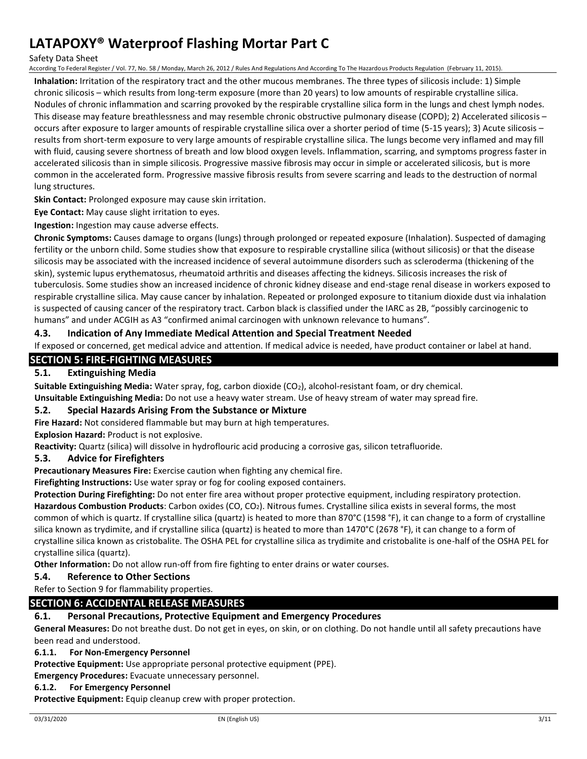#### Safety Data Sheet

According To Federal Register / Vol. 77, No. 58 / Monday, March 26, 2012 / Rules And Regulations And According To The Hazardous Products Regulation (February 11, 2015).

**Inhalation:** Irritation of the respiratory tract and the other mucous membranes. The three types of silicosis include: 1) Simple chronic silicosis – which results from long-term exposure (more than 20 years) to low amounts of respirable crystalline silica. Nodules of chronic inflammation and scarring provoked by the respirable crystalline silica form in the lungs and chest lymph nodes. This disease may feature breathlessness and may resemble chronic obstructive pulmonary disease (COPD); 2) Accelerated silicosis – occurs after exposure to larger amounts of respirable crystalline silica over a shorter period of time (5-15 years); 3) Acute silicosis – results from short-term exposure to very large amounts of respirable crystalline silica. The lungs become very inflamed and may fill with fluid, causing severe shortness of breath and low blood oxygen levels. Inflammation, scarring, and symptoms progress faster in accelerated silicosis than in simple silicosis. Progressive massive fibrosis may occur in simple or accelerated silicosis, but is more common in the accelerated form. Progressive massive fibrosis results from severe scarring and leads to the destruction of normal lung structures.

**Skin Contact:** Prolonged exposure may cause skin irritation.

**Eye Contact:** May cause slight irritation to eyes.

**Ingestion:** Ingestion may cause adverse effects.

**Chronic Symptoms:** Causes damage to organs (lungs) through prolonged or repeated exposure (Inhalation). Suspected of damaging fertility or the unborn child. Some studies show that exposure to respirable crystalline silica (without silicosis) or that the disease silicosis may be associated with the increased incidence of several autoimmune disorders such as scleroderma (thickening of the skin), systemic lupus erythematosus, rheumatoid arthritis and diseases affecting the kidneys. Silicosis increases the risk of tuberculosis. Some studies show an increased incidence of chronic kidney disease and end-stage renal disease in workers exposed to respirable crystalline silica. May cause cancer by inhalation. Repeated or prolonged exposure to titanium dioxide dust via inhalation is suspected of causing cancer of the respiratory tract. Carbon black is classified under the IARC as 2B, "possibly carcinogenic to humans" and under ACGIH as A3 "confirmed animal carcinogen with unknown relevance to humans".

#### **4.3. Indication of Any Immediate Medical Attention and Special Treatment Needed**

If exposed or concerned, get medical advice and attention. If medical advice is needed, have product container or label at hand.

### **SECTION 5: FIRE-FIGHTING MEASURES**

### **5.1. Extinguishing Media**

**Suitable Extinguishing Media:** Water spray, fog, carbon dioxide (CO2), alcohol-resistant foam, or dry chemical.

**Unsuitable Extinguishing Media:** Do not use a heavy water stream. Use of heavy stream of water may spread fire.

### **5.2. Special Hazards Arising From the Substance or Mixture**

**Fire Hazard:** Not considered flammable but may burn at high temperatures.

**Explosion Hazard:** Product is not explosive.

**Reactivity:** Quartz (silica) will dissolve in hydroflouric acid producing a corrosive gas, silicon tetrafluoride.

#### **5.3. Advice for Firefighters**

**Precautionary Measures Fire:** Exercise caution when fighting any chemical fire.

**Firefighting Instructions:** Use water spray or fog for cooling exposed containers.

**Protection During Firefighting:** Do not enter fire area without proper protective equipment, including respiratory protection. **Hazardous Combustion Products**: Carbon oxides (CO, CO2). Nitrous fumes. Crystalline silica exists in several forms, the most common of which is quartz. If crystalline silica (quartz) is heated to more than 870°C (1598 °F), it can change to a form of crystalline silica known as trydimite, and if crystalline silica (quartz) is heated to more than 1470°C (2678 °F), it can change to a form of

crystalline silica known as cristobalite. The OSHA PEL for crystalline silica as trydimite and cristobalite is one-half of the OSHA PEL for crystalline silica (quartz).

**Other Information:** Do not allow run-off from fire fighting to enter drains or water courses.

#### **5.4. Reference to Other Sections**

Refer to Section 9 for flammability properties.

### **SECTION 6: ACCIDENTAL RELEASE MEASURES**

#### **6.1. Personal Precautions, Protective Equipment and Emergency Procedures**

**General Measures:** Do not breathe dust. Do not get in eyes, on skin, or on clothing. Do not handle until all safety precautions have been read and understood.

#### **6.1.1. For Non-Emergency Personnel**

**Protective Equipment:** Use appropriate personal protective equipment (PPE).

**Emergency Procedures:** Evacuate unnecessary personnel.

#### **6.1.2. For Emergency Personnel**

**Protective Equipment:** Equip cleanup crew with proper protection.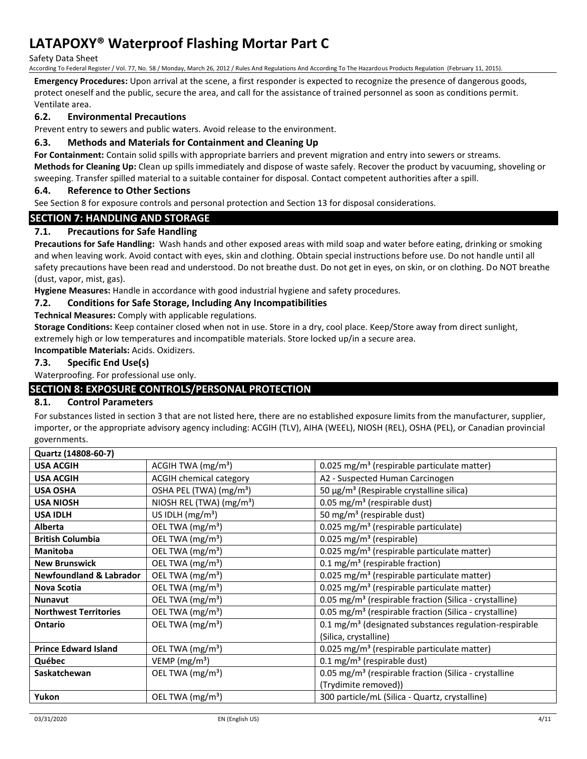Safety Data Sheet

According To Federal Register / Vol. 77, No. 58 / Monday, March 26, 2012 / Rules And Regulations And According To The Hazardous Products Regulation (February 11, 2015).

**Emergency Procedures:** Upon arrival at the scene, a first responder is expected to recognize the presence of dangerous goods, protect oneself and the public, secure the area, and call for the assistance of trained personnel as soon as conditions permit. Ventilate area.

### **6.2. Environmental Precautions**

Prevent entry to sewers and public waters. Avoid release to the environment.

#### **6.3. Methods and Materials for Containment and Cleaning Up**

**For Containment:** Contain solid spills with appropriate barriers and prevent migration and entry into sewers or streams.

**Methods for Cleaning Up:** Clean up spills immediately and dispose of waste safely. Recover the product by vacuuming, shoveling or sweeping. Transfer spilled material to a suitable container for disposal. Contact competent authorities after a spill.

### **6.4. Reference to Other Sections**

See Section 8 for exposure controls and personal protection and Section 13 for disposal considerations.

### **SECTION 7: HANDLING AND STORAGE**

### **7.1. Precautions for Safe Handling**

**Precautions for Safe Handling:** Wash hands and other exposed areas with mild soap and water before eating, drinking or smoking and when leaving work. Avoid contact with eyes, skin and clothing. Obtain special instructions before use. Do not handle until all safety precautions have been read and understood. Do not breathe dust. Do not get in eyes, on skin, or on clothing. Do NOT breathe (dust, vapor, mist, gas).

**Hygiene Measures:** Handle in accordance with good industrial hygiene and safety procedures.

### **7.2. Conditions for Safe Storage, Including Any Incompatibilities**

**Technical Measures:** Comply with applicable regulations.

**Storage Conditions:** Keep container closed when not in use. Store in a dry, cool place. Keep/Store away from direct sunlight, extremely high or low temperatures and incompatible materials. Store locked up/in a secure area.

#### **Incompatible Materials:** Acids. Oxidizers.

### **7.3. Specific End Use(s)**

Waterproofing. For professional use only.

# **SECTION 8: EXPOSURE CONTROLS/PERSONAL PROTECTION**

#### **8.1. Control Parameters**

For substances listed in section 3 that are not listed here, there are no established exposure limits from the manufacturer, supplier, importer, or the appropriate advisory agency including: ACGIH (TLV), AIHA (WEEL), NIOSH (REL), OSHA (PEL), or Canadian provincial governments.

| Quartz (14808-60-7)                |                                     |                                                                    |
|------------------------------------|-------------------------------------|--------------------------------------------------------------------|
| <b>USA ACGIH</b>                   | ACGIH TWA $(mg/m3)$                 | 0.025 mg/m <sup>3</sup> (respirable particulate matter)            |
| <b>USA ACGIH</b>                   | <b>ACGIH chemical category</b>      | A2 - Suspected Human Carcinogen                                    |
| <b>USA OSHA</b>                    | OSHA PEL (TWA) (mg/m <sup>3</sup> ) | 50 μg/m <sup>3</sup> (Respirable crystalline silica)               |
| <b>USA NIOSH</b>                   | NIOSH REL (TWA) $(mg/m3)$           | 0.05 mg/m <sup>3</sup> (respirable dust)                           |
| <b>USA IDLH</b>                    | US IDLH $(mg/m3)$                   | 50 mg/m <sup>3</sup> (respirable dust)                             |
| <b>Alberta</b>                     | OEL TWA (mg/m <sup>3</sup> )        | 0.025 mg/m <sup>3</sup> (respirable particulate)                   |
| <b>British Columbia</b>            | OEL TWA (mg/m <sup>3</sup> )        | $0.025$ mg/m <sup>3</sup> (respirable)                             |
| <b>Manitoba</b>                    | OEL TWA (mg/m <sup>3</sup> )        | 0.025 mg/m <sup>3</sup> (respirable particulate matter)            |
| <b>New Brunswick</b>               | OEL TWA (mg/m <sup>3</sup> )        | 0.1 mg/m <sup>3</sup> (respirable fraction)                        |
| <b>Newfoundland &amp; Labrador</b> | OEL TWA (mg/m <sup>3</sup> )        | 0.025 mg/m <sup>3</sup> (respirable particulate matter)            |
| Nova Scotia                        | OEL TWA (mg/m <sup>3</sup> )        | 0.025 mg/m <sup>3</sup> (respirable particulate matter)            |
| <b>Nunavut</b>                     | OEL TWA (mg/m <sup>3</sup> )        | 0.05 mg/m <sup>3</sup> (respirable fraction (Silica - crystalline) |
| <b>Northwest Territories</b>       | OEL TWA (mg/m <sup>3</sup> )        | 0.05 mg/m <sup>3</sup> (respirable fraction (Silica - crystalline) |
| <b>Ontario</b>                     | OEL TWA (mg/m <sup>3</sup> )        | 0.1 mg/m <sup>3</sup> (designated substances regulation-respirable |
|                                    |                                     | (Silica, crystalline)                                              |
| <b>Prince Edward Island</b>        | OEL TWA (mg/m <sup>3</sup> )        | 0.025 mg/m <sup>3</sup> (respirable particulate matter)            |
| Québec                             | $VEMP$ (mg/m <sup>3</sup> )         | $0.1 \text{ mg/m}^3$ (respirable dust)                             |
| Saskatchewan                       | OEL TWA (mg/m <sup>3</sup> )        | 0.05 mg/m <sup>3</sup> (respirable fraction (Silica - crystalline  |
|                                    |                                     | (Trydimite removed))                                               |
| Yukon                              | OEL TWA (mg/m <sup>3</sup> )        | 300 particle/mL (Silica - Quartz, crystalline)                     |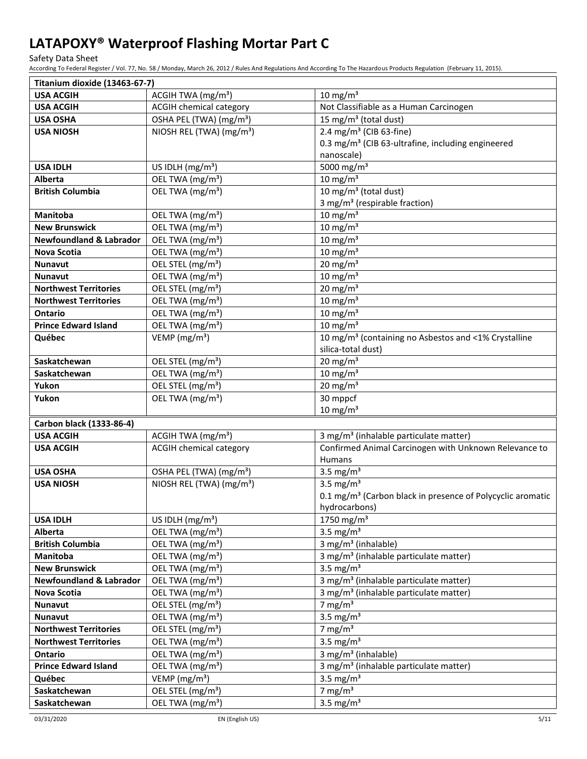Safety Data Sheet

According To Federal Register / Vol. 77, No. 58 / Monday, March 26, 2012 / Rules And Regulations And According To The Hazardous Products Regulation (February 11, 2015).

| Titanium dioxide (13463-67-7)          |                                                              |                                                                                       |
|----------------------------------------|--------------------------------------------------------------|---------------------------------------------------------------------------------------|
| <b>USA ACGIH</b>                       | ACGIH TWA (mg/m <sup>3</sup> )                               | 10 mg/m $3$                                                                           |
| <b>USA ACGIH</b>                       | <b>ACGIH chemical category</b>                               | Not Classifiable as a Human Carcinogen                                                |
| <b>USA OSHA</b>                        | OSHA PEL (TWA) (mg/m <sup>3</sup> )                          | 15 mg/m <sup>3</sup> (total dust)                                                     |
| <b>USA NIOSH</b>                       | NIOSH REL (TWA) (mg/m <sup>3</sup> )                         | 2.4 mg/m <sup>3</sup> (CIB 63-fine)                                                   |
|                                        |                                                              | 0.3 mg/m <sup>3</sup> (CIB 63-ultrafine, including engineered                         |
|                                        |                                                              | nanoscale)                                                                            |
| <b>USA IDLH</b>                        | US IDLH $(mg/m3)$                                            | 5000 mg/m <sup>3</sup>                                                                |
| <b>Alberta</b>                         | OEL TWA (mg/m <sup>3</sup> )                                 | 10 mg/m $3$                                                                           |
| <b>British Columbia</b>                | OEL TWA (mg/m <sup>3</sup> )                                 | 10 mg/m <sup>3</sup> (total dust)                                                     |
|                                        |                                                              | 3 mg/m <sup>3</sup> (respirable fraction)                                             |
| <b>Manitoba</b>                        | OEL TWA (mg/m <sup>3</sup> )                                 | 10 mg/m $3$                                                                           |
| <b>New Brunswick</b>                   | OEL TWA (mg/m <sup>3</sup> )                                 | 10 mg/m $3$                                                                           |
| <b>Newfoundland &amp; Labrador</b>     | OEL TWA (mg/m <sup>3</sup> )                                 | 10 mg/m $3$                                                                           |
| Nova Scotia                            | OEL TWA (mg/m <sup>3</sup> )                                 | $10 \text{ mg/m}^3$                                                                   |
| Nunavut                                | OEL STEL (mg/m <sup>3</sup> )                                | 20 mg/m $3$                                                                           |
| Nunavut                                | OEL TWA (mg/m <sup>3</sup> )                                 | $10 \text{ mg/m}^3$                                                                   |
| <b>Northwest Territories</b>           | OEL STEL (mg/m <sup>3</sup> )                                | 20 mg/m $3$                                                                           |
| <b>Northwest Territories</b>           | OEL TWA (mg/m <sup>3</sup> )                                 | $10 \text{ mg/m}^3$                                                                   |
| <b>Ontario</b>                         | OEL TWA (mg/m <sup>3</sup> )                                 | 10 mg/m $3$                                                                           |
| <b>Prince Edward Island</b>            | OEL TWA (mg/m <sup>3</sup> )                                 | 10 mg/m $3$                                                                           |
| Québec                                 | VEMP ( $mg/m3$ )                                             | 10 mg/m <sup>3</sup> (containing no Asbestos and <1% Crystalline                      |
|                                        |                                                              | silica-total dust)                                                                    |
| Saskatchewan                           | OEL STEL (mg/m <sup>3</sup> )                                | 20 mg/m $3$                                                                           |
| Saskatchewan                           | OEL TWA (mg/m <sup>3</sup> )                                 | 10 mg/m $3$                                                                           |
| Yukon                                  | OEL STEL (mg/m <sup>3</sup> )                                | $20 \text{ mg/m}^3$                                                                   |
| Yukon                                  | OEL TWA (mg/m <sup>3</sup> )                                 | 30 mppcf                                                                              |
|                                        |                                                              | 10 mg/ $m3$                                                                           |
| Carbon black (1333-86-4)               |                                                              |                                                                                       |
| <b>USA ACGIH</b>                       | ACGIH TWA (mg/m <sup>3</sup> )                               | 3 mg/m <sup>3</sup> (inhalable particulate matter)                                    |
| <b>USA ACGIH</b>                       | <b>ACGIH chemical category</b>                               | Confirmed Animal Carcinogen with Unknown Relevance to                                 |
|                                        |                                                              | Humans                                                                                |
| <b>USA OSHA</b>                        | OSHA PEL (TWA) (mg/m <sup>3</sup> )                          | 3.5 mg/ $m3$                                                                          |
| <b>USA NIOSH</b>                       | NIOSH REL (TWA) (mg/m <sup>3</sup> )                         | 3.5 mg/ $m3$                                                                          |
|                                        |                                                              | 0.1 mg/m <sup>3</sup> (Carbon black in presence of Polycyclic aromatic                |
|                                        |                                                              | hydrocarbons)                                                                         |
| <b>USA IDLH</b>                        | US IDLH $(mg/m3)$                                            | 1750 mg/m <sup>3</sup>                                                                |
| Alberta                                | OEL TWA (mg/m <sup>3</sup> )                                 | 3.5 mg/ $m3$<br>3 mg/m <sup>3</sup> (inhalable)                                       |
| <b>British Columbia</b><br>Manitoba    | OEL TWA (mg/m <sup>3</sup> )<br>OEL TWA (mg/m <sup>3</sup> ) | 3 mg/m <sup>3</sup> (inhalable particulate matter)                                    |
| <b>New Brunswick</b>                   | OEL TWA (mg/m <sup>3</sup> )                                 | 3.5 mg/ $m3$                                                                          |
| <b>Newfoundland &amp; Labrador</b>     | OEL TWA (mg/m <sup>3</sup> )                                 | 3 mg/m <sup>3</sup> (inhalable particulate matter)                                    |
|                                        | OEL TWA (mg/m <sup>3</sup> )                                 | 3 mg/m <sup>3</sup> (inhalable particulate matter)                                    |
| Nova Scotia<br><b>Nunavut</b>          | OEL STEL (mg/m <sup>3</sup> )                                | 7 mg/ $m3$                                                                            |
| Nunavut                                | OEL TWA (mg/m <sup>3</sup> )                                 | 3.5 mg/ $m3$                                                                          |
| <b>Northwest Territories</b>           | OEL STEL (mg/m <sup>3</sup> )                                | 7 mg/ $m3$                                                                            |
| <b>Northwest Territories</b>           | OEL TWA (mg/m <sup>3</sup> )                                 | 3.5 mg/ $m3$                                                                          |
|                                        |                                                              |                                                                                       |
| Ontario<br><b>Prince Edward Island</b> | OEL TWA (mg/m <sup>3</sup> )<br>OEL TWA (mg/m <sup>3</sup> ) | 3 mg/m <sup>3</sup> (inhalable)<br>3 mg/m <sup>3</sup> (inhalable particulate matter) |
|                                        | VEMP (mg/m <sup>3</sup> )                                    | 3.5 mg/ $m3$                                                                          |
| Québec<br>Saskatchewan                 | OEL STEL (mg/m <sup>3</sup> )                                | 7 mg/ $m3$                                                                            |
|                                        |                                                              | 3.5 mg/ $m3$                                                                          |
| Saskatchewan                           | OEL TWA (mg/m <sup>3</sup> )                                 |                                                                                       |

03/31/2020 EN (English US) 5/11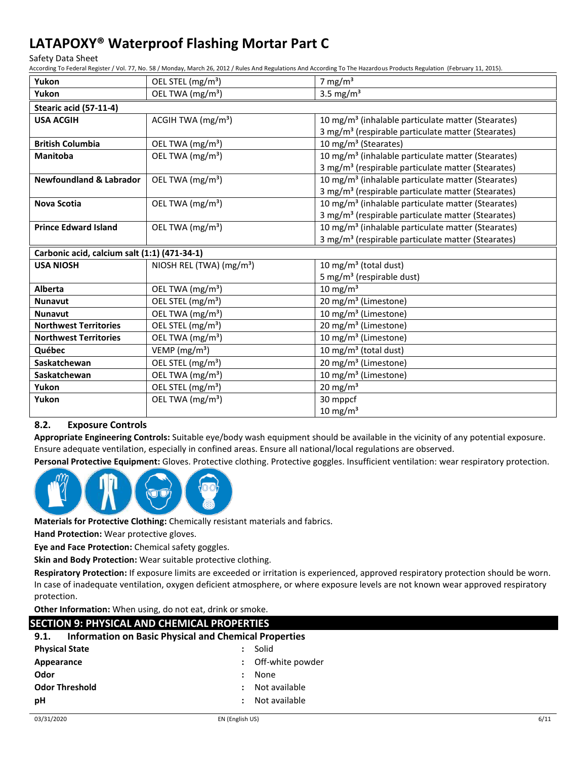Safety Data Sheet

According To Federal Register / Vol. 77, No. 58 / Monday, March 26, 2012 / Rules And Regulations And According To The Hazardous Products Regulation (February 11, 2015).

| Yukon                                        | OEL STEL (mg/m <sup>3</sup> )        | 7 mg/ $m3$                                                     |
|----------------------------------------------|--------------------------------------|----------------------------------------------------------------|
| Yukon                                        | OEL TWA (mg/m <sup>3</sup> )         | 3.5 mg/ $m3$                                                   |
| Stearic acid (57-11-4)                       |                                      |                                                                |
| <b>USA ACGIH</b>                             | ACGIH TWA (mg/m <sup>3</sup> )       | 10 mg/m <sup>3</sup> (inhalable particulate matter (Stearates) |
|                                              |                                      | 3 mg/m <sup>3</sup> (respirable particulate matter (Stearates) |
| <b>British Columbia</b>                      | OEL TWA (mg/m <sup>3</sup> )         | 10 mg/m <sup>3</sup> (Stearates)                               |
| <b>Manitoba</b>                              | OEL TWA $(mg/m3)$                    | 10 mg/m <sup>3</sup> (inhalable particulate matter (Stearates) |
|                                              |                                      | 3 mg/m <sup>3</sup> (respirable particulate matter (Stearates) |
| <b>Newfoundland &amp; Labrador</b>           | OEL TWA (mg/m <sup>3</sup> )         | 10 mg/m <sup>3</sup> (inhalable particulate matter (Stearates) |
|                                              |                                      | 3 mg/m <sup>3</sup> (respirable particulate matter (Stearates) |
| <b>Nova Scotia</b>                           | OEL TWA $(mg/m3)$                    | 10 mg/m <sup>3</sup> (inhalable particulate matter (Stearates) |
|                                              |                                      | 3 mg/m <sup>3</sup> (respirable particulate matter (Stearates) |
| <b>Prince Edward Island</b>                  | OEL TWA (mg/m <sup>3</sup> )         | 10 mg/m <sup>3</sup> (inhalable particulate matter (Stearates) |
|                                              |                                      | 3 mg/m <sup>3</sup> (respirable particulate matter (Stearates) |
| Carbonic acid, calcium salt (1:1) (471-34-1) |                                      |                                                                |
| <b>USA NIOSH</b>                             | NIOSH REL (TWA) (mg/m <sup>3</sup> ) | 10 mg/m <sup>3</sup> (total dust)                              |
|                                              |                                      | 5 mg/m <sup>3</sup> (respirable dust)                          |
| Alberta                                      | OEL TWA (mg/m <sup>3</sup> )         | $10 \text{ mg/m}^3$                                            |
| <b>Nunavut</b>                               | OEL STEL (mg/m <sup>3</sup> )        | 20 mg/m <sup>3</sup> (Limestone)                               |
| <b>Nunavut</b>                               | OEL TWA (mg/m <sup>3</sup> )         | 10 mg/m <sup>3</sup> (Limestone)                               |
| <b>Northwest Territories</b>                 | OEL STEL (mg/m <sup>3</sup> )        | 20 mg/m <sup>3</sup> (Limestone)                               |
| <b>Northwest Territories</b>                 | OEL TWA (mg/m <sup>3</sup> )         | 10 mg/m <sup>3</sup> (Limestone)                               |
| Québec                                       | VEMP ( $mg/m3$ )                     | 10 mg/m <sup>3</sup> (total dust)                              |
| Saskatchewan                                 | OEL STEL (mg/m <sup>3</sup> )        | 20 mg/m <sup>3</sup> (Limestone)                               |
| Saskatchewan                                 | OEL TWA (mg/m <sup>3</sup> )         | 10 mg/m <sup>3</sup> (Limestone)                               |
| Yukon                                        | OEL STEL (mg/m <sup>3</sup> )        | 20 mg/m $3$                                                    |
| Yukon                                        | OEL TWA (mg/m <sup>3</sup> )         | 30 mppcf                                                       |
|                                              |                                      | $10 \text{ mg/m}^3$                                            |

### **8.2. Exposure Controls**

**Appropriate Engineering Controls:** Suitable eye/body wash equipment should be available in the vicinity of any potential exposure. Ensure adequate ventilation, especially in confined areas. Ensure all national/local regulations are observed.

**Personal Protective Equipment:** Gloves. Protective clothing. Protective goggles. Insufficient ventilation: wear respiratory protection.



**Materials for Protective Clothing:** Chemically resistant materials and fabrics.

**Hand Protection:** Wear protective gloves.

**Eye and Face Protection:** Chemical safety goggles.

**Skin and Body Protection:** Wear suitable protective clothing.

**Respiratory Protection:** If exposure limits are exceeded or irritation is experienced, approved respiratory protection should be worn. In case of inadequate ventilation, oxygen deficient atmosphere, or where exposure levels are not known wear approved respiratory protection.

**Other Information:** When using, do not eat, drink or smoke.

| SECTION 9: PHYSICAL AND CHEMICAL PROPERTIES                          |                  |  |
|----------------------------------------------------------------------|------------------|--|
| <b>Information on Basic Physical and Chemical Properties</b><br>9.1. |                  |  |
| <b>Physical State</b>                                                | : Solid          |  |
| Appearance                                                           | Off-white powder |  |
| Odor                                                                 | None             |  |
| <b>Odor Threshold</b>                                                | Not available    |  |
| рH                                                                   | Not available    |  |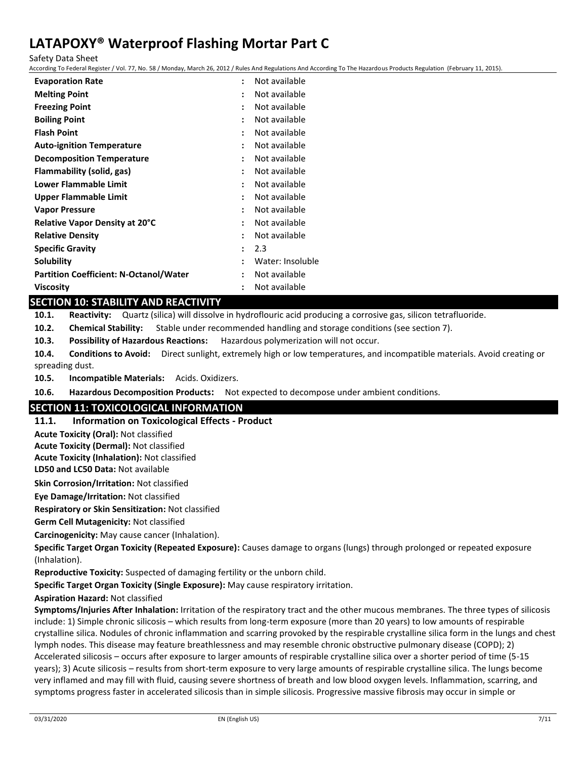Safety Data Sheet

According To Federal Register / Vol. 77, No. 58 / Monday, March 26, 2012 / Rules And Regulations And According To The Hazardous Products Regulation (February 11, 2015).

| <b>Evaporation Rate</b>                       | $\ddot{\phantom{a}}$ | Not available    |
|-----------------------------------------------|----------------------|------------------|
| <b>Melting Point</b>                          | ÷                    | Not available    |
| <b>Freezing Point</b>                         |                      | Not available    |
| <b>Boiling Point</b>                          |                      | Not available    |
| <b>Flash Point</b>                            |                      | Not available    |
| <b>Auto-ignition Temperature</b>              |                      | Not available    |
| <b>Decomposition Temperature</b>              | $\ddot{\phantom{a}}$ | Not available    |
| Flammability (solid, gas)                     |                      | Not available    |
| Lower Flammable Limit                         |                      | Not available    |
| Upper Flammable Limit                         | $\ddot{\phantom{a}}$ | Not available    |
| <b>Vapor Pressure</b>                         |                      | Not available    |
| <b>Relative Vapor Density at 20°C</b>         | $\ddot{\phantom{a}}$ | Not available    |
| <b>Relative Density</b>                       | ٠                    | Not available    |
| <b>Specific Gravity</b>                       |                      | 2.3              |
| Solubility                                    | $\ddot{\phantom{a}}$ | Water: Insoluble |
| <b>Partition Coefficient: N-Octanol/Water</b> | ÷                    | Not available    |
| <b>Viscosity</b>                              | $\ddot{\phantom{a}}$ | Not available    |
|                                               |                      |                  |

### **SECTION 10: STABILITY AND REACTIVITY**

**10.1. Reactivity:** Quartz (silica) will dissolve in hydroflouric acid producing a corrosive gas, silicon tetrafluoride.

**10.2. Chemical Stability:** Stable under recommended handling and storage conditions (see section 7).

**10.3. Possibility of Hazardous Reactions:** Hazardous polymerization will not occur.

**10.4. Conditions to Avoid:** Direct sunlight, extremely high or low temperatures, and incompatible materials. Avoid creating or spreading dust.

**10.5. Incompatible Materials:** Acids. Oxidizers.

**10.6. Hazardous Decomposition Products:** Not expected to decompose under ambient conditions.

### **SECTION 11: TOXICOLOGICAL INFORMATION**

#### **11.1. Information on Toxicological Effects - Product**

**Acute Toxicity (Oral):** Not classified

**Acute Toxicity (Dermal):** Not classified

**Acute Toxicity (Inhalation):** Not classified

**LD50 and LC50 Data:** Not available

**Skin Corrosion/Irritation:** Not classified

**Eye Damage/Irritation:** Not classified

**Respiratory or Skin Sensitization:** Not classified

**Germ Cell Mutagenicity:** Not classified

**Carcinogenicity:** May cause cancer (Inhalation).

**Specific Target Organ Toxicity (Repeated Exposure):** Causes damage to organs (lungs) through prolonged or repeated exposure (Inhalation).

**Reproductive Toxicity:** Suspected of damaging fertility or the unborn child.

**Specific Target Organ Toxicity (Single Exposure):** May cause respiratory irritation.

**Aspiration Hazard:** Not classified

**Symptoms/Injuries After Inhalation:** Irritation of the respiratory tract and the other mucous membranes. The three types of silicosis include: 1) Simple chronic silicosis – which results from long-term exposure (more than 20 years) to low amounts of respirable crystalline silica. Nodules of chronic inflammation and scarring provoked by the respirable crystalline silica form in the lungs and chest lymph nodes. This disease may feature breathlessness and may resemble chronic obstructive pulmonary disease (COPD); 2) Accelerated silicosis – occurs after exposure to larger amounts of respirable crystalline silica over a shorter period of time (5-15 years); 3) Acute silicosis – results from short-term exposure to very large amounts of respirable crystalline silica. The lungs become very inflamed and may fill with fluid, causing severe shortness of breath and low blood oxygen levels. Inflammation, scarring, and symptoms progress faster in accelerated silicosis than in simple silicosis. Progressive massive fibrosis may occur in simple or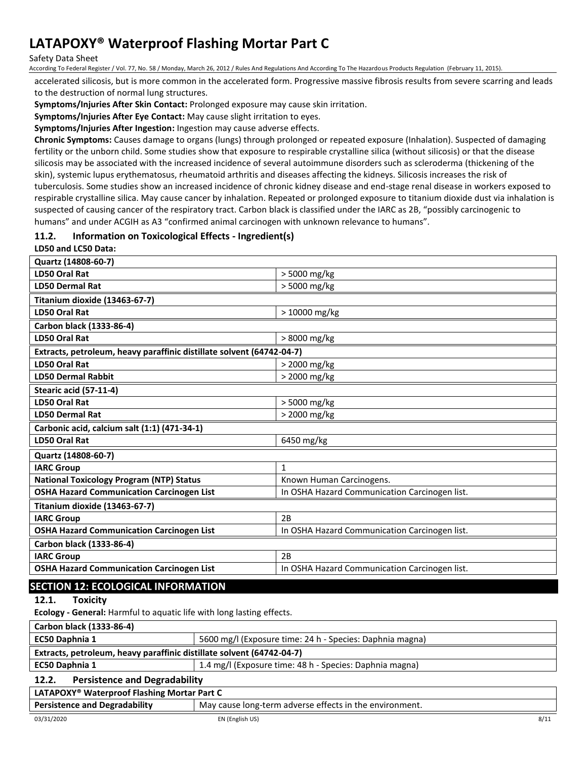#### Safety Data Sheet

According To Federal Register / Vol. 77, No. 58 / Monday, March 26, 2012 / Rules And Regulations And According To The Hazardous Products Regulation (February 11, 2015).

accelerated silicosis, but is more common in the accelerated form. Progressive massive fibrosis results from severe scarring and leads to the destruction of normal lung structures.

**Symptoms/Injuries After Skin Contact:** Prolonged exposure may cause skin irritation.

**Symptoms/Injuries After Eye Contact:** May cause slight irritation to eyes.

**Symptoms/Injuries After Ingestion:** Ingestion may cause adverse effects.

**Chronic Symptoms:** Causes damage to organs (lungs) through prolonged or repeated exposure (Inhalation). Suspected of damaging fertility or the unborn child. Some studies show that exposure to respirable crystalline silica (without silicosis) or that the disease silicosis may be associated with the increased incidence of several autoimmune disorders such as scleroderma (thickening of the skin), systemic lupus erythematosus, rheumatoid arthritis and diseases affecting the kidneys. Silicosis increases the risk of tuberculosis. Some studies show an increased incidence of chronic kidney disease and end-stage renal disease in workers exposed to respirable crystalline silica. May cause cancer by inhalation. Repeated or prolonged exposure to titanium dioxide dust via inhalation is suspected of causing cancer of the respiratory tract. Carbon black is classified under the IARC as 2B, "possibly carcinogenic to humans" and under ACGIH as A3 "confirmed animal carcinogen with unknown relevance to humans".

#### **11.2. Information on Toxicological Effects - Ingredient(s)**

#### **LD50 and LC50 Data:**

| Quartz (14808-60-7)                                                   |                                               |  |
|-----------------------------------------------------------------------|-----------------------------------------------|--|
| LD50 Oral Rat                                                         | > 5000 mg/kg                                  |  |
| <b>LD50 Dermal Rat</b>                                                | > 5000 mg/kg                                  |  |
| Titanium dioxide (13463-67-7)                                         |                                               |  |
| <b>LD50 Oral Rat</b>                                                  | > 10000 mg/kg                                 |  |
| Carbon black (1333-86-4)                                              |                                               |  |
| <b>LD50 Oral Rat</b>                                                  | > 8000 mg/kg                                  |  |
| Extracts, petroleum, heavy paraffinic distillate solvent (64742-04-7) |                                               |  |
| LD50 Oral Rat                                                         | > 2000 mg/kg                                  |  |
| <b>LD50 Dermal Rabbit</b>                                             | > 2000 mg/kg                                  |  |
| Stearic acid (57-11-4)                                                |                                               |  |
| LD50 Oral Rat                                                         | > 5000 mg/kg                                  |  |
| <b>LD50 Dermal Rat</b>                                                | > 2000 mg/kg                                  |  |
| Carbonic acid, calcium salt (1:1) (471-34-1)                          |                                               |  |
| <b>LD50 Oral Rat</b>                                                  | 6450 mg/kg                                    |  |
| Quartz (14808-60-7)                                                   |                                               |  |
| <b>IARC Group</b>                                                     | $\mathbf{1}$                                  |  |
| <b>National Toxicology Program (NTP) Status</b>                       | Known Human Carcinogens.                      |  |
| <b>OSHA Hazard Communication Carcinogen List</b>                      | In OSHA Hazard Communication Carcinogen list. |  |
| Titanium dioxide (13463-67-7)                                         |                                               |  |
| <b>IARC Group</b>                                                     | 2B                                            |  |
| <b>OSHA Hazard Communication Carcinogen List</b>                      | In OSHA Hazard Communication Carcinogen list. |  |
| Carbon black (1333-86-4)                                              |                                               |  |
| <b>IARC Group</b>                                                     | 2B                                            |  |
| <b>OSHA Hazard Communication Carcinogen List</b>                      | In OSHA Hazard Communication Carcinogen list. |  |
|                                                                       |                                               |  |

# **SECTION 12: ECOLOGICAL INFORMATION**

**12.1. Toxicity**

**Ecology - General:** Harmful to aquatic life with long lasting effects.

**Carbon black (1333-86-4) EC50 Daphnia 1** 5600 mg/l (Exposure time: 24 h - Species: Daphnia magna) **Extracts, petroleum, heavy paraffinic distillate solvent (64742-04-7) EC50 Daphnia 1 1.4 mg/l (Exposure time: 48 h - Species: Daphnia magna) 12.2. Persistence and Degradability LATAPOXY® Waterproof Flashing Mortar Part C** 

| <b>Persistence and Degradability</b> | May cause long-term adverse effects in the environment. |
|--------------------------------------|---------------------------------------------------------|
|                                      |                                                         |
|                                      |                                                         |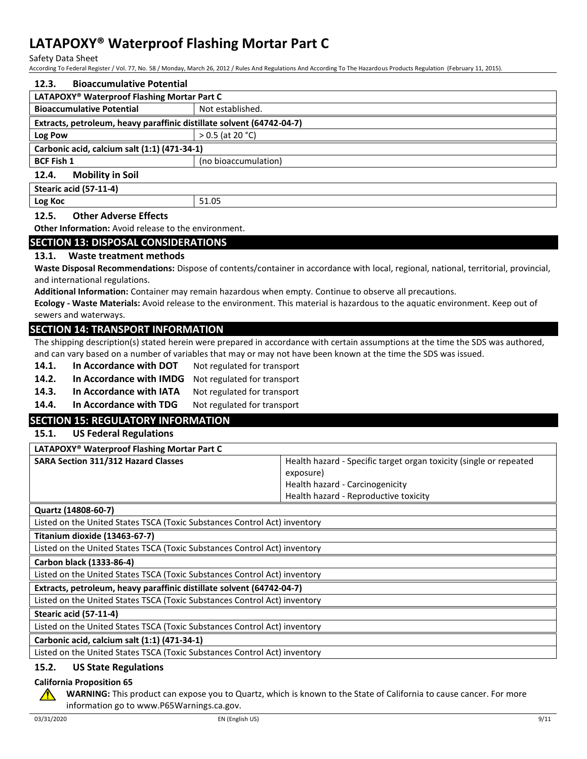Safety Data Sheet

According To Federal Register / Vol. 77, No. 58 / Monday, March 26, 2012 / Rules And Regulations And According To The Hazardous Products Regulation (February 11, 2015).

| <b>Bioaccumulative Potential</b><br>12.3.                             |                      |  |
|-----------------------------------------------------------------------|----------------------|--|
| LATAPOXY <sup>®</sup> Waterproof Flashing Mortar Part C               |                      |  |
| <b>Bioaccumulative Potential</b>                                      | Not established.     |  |
| Extracts, petroleum, heavy paraffinic distillate solvent (64742-04-7) |                      |  |
| Log Pow                                                               | $> 0.5$ (at 20 °C)   |  |
| Carbonic acid, calcium salt (1:1) (471-34-1)                          |                      |  |
| <b>BCF Fish 1</b>                                                     | (no bioaccumulation) |  |
| <b>Mobility in Soil</b><br>12.4.                                      |                      |  |
| Stearic acid (57-11-4)                                                |                      |  |
| Log Koc                                                               | 51.05                |  |

#### **12.5. Other Adverse Effects**

**Other Information:** Avoid release to the environment.

#### **SECTION 13: DISPOSAL CONSIDERATIONS**

#### **13.1. Waste treatment methods**

**Waste Disposal Recommendations:** Dispose of contents/container in accordance with local, regional, national, territorial, provincial, and international regulations.

**Additional Information:** Container may remain hazardous when empty. Continue to observe all precautions.

**Ecology - Waste Materials:** Avoid release to the environment. This material is hazardous to the aquatic environment. Keep out of sewers and waterways.

### **SECTION 14: TRANSPORT INFORMATION**

The shipping description(s) stated herein were prepared in accordance with certain assumptions at the time the SDS was authored, and can vary based on a number of variables that may or may not have been known at the time the SDS was issued.

- **14.1.** In Accordance with DOT Not regulated for transport
- 14.2. In Accordance with IMDG Not regulated for transport

14.3. In Accordance with IATA Not regulated for transport

14.4. In Accordance with TDG Not regulated for transport

### **SECTION 15: REGULATORY INFORMATION**

### **15.1. US Federal Regulations**

| LATAPOXY <sup>®</sup> Waterproof Flashing Mortar Part C |                                                                    |
|---------------------------------------------------------|--------------------------------------------------------------------|
| <b>SARA Section 311/312 Hazard Classes</b>              | Health hazard - Specific target organ toxicity (single or repeated |
|                                                         | exposure)                                                          |
|                                                         | Health hazard - Carcinogenicity                                    |
|                                                         | Health hazard - Reproductive toxicity                              |
|                                                         |                                                                    |

**Quartz (14808-60-7)**

Listed on the United States TSCA (Toxic Substances Control Act) inventory

**Titanium dioxide (13463-67-7)**

Listed on the United States TSCA (Toxic Substances Control Act) inventory

**Carbon black (1333-86-4)**

Listed on the United States TSCA (Toxic Substances Control Act) inventory

**Extracts, petroleum, heavy paraffinic distillate solvent (64742-04-7)**

Listed on the United States TSCA (Toxic Substances Control Act) inventory

**Stearic acid (57-11-4)**

Listed on the United States TSCA (Toxic Substances Control Act) inventory

**Carbonic acid, calcium salt (1:1) (471-34-1)**

Listed on the United States TSCA (Toxic Substances Control Act) inventory

#### **15.2. US State Regulations**

#### **California Proposition 65**

**WARNING:** This product can expose you to Quartz, which is known to the State of California to cause cancer. For more information go to www.P65Warnings.ca.gov.

 $\sqrt{N}$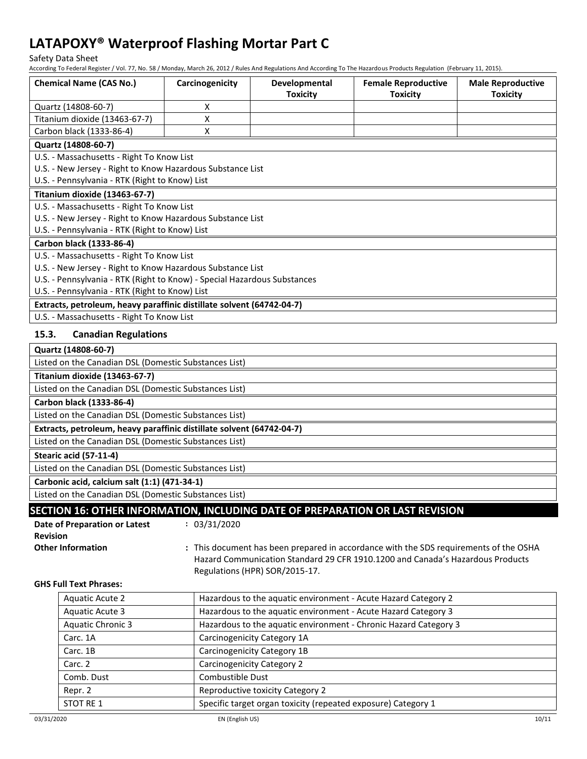Safety Data Sheet

According To Federal Register / Vol. 77, No. 58 / Monday, March 26, 2012 / Rules And Regulations And According To The Hazardous Products Regulation (February 11, 2015).

| <b>Chemical Name (CAS No.)</b>                                                | Carcinogenicity    | Developmental<br><b>Toxicity</b>  | <b>Female Reproductive</b><br><b>Toxicity</b>                                         | <b>Male Reproductive</b><br><b>Toxicity</b> |  |
|-------------------------------------------------------------------------------|--------------------|-----------------------------------|---------------------------------------------------------------------------------------|---------------------------------------------|--|
| Quartz (14808-60-7)                                                           | Χ                  |                                   |                                                                                       |                                             |  |
| Titanium dioxide (13463-67-7)                                                 | $\pmb{\mathsf{X}}$ |                                   |                                                                                       |                                             |  |
| Carbon black (1333-86-4)                                                      | X                  |                                   |                                                                                       |                                             |  |
| Quartz (14808-60-7)                                                           |                    |                                   |                                                                                       |                                             |  |
| U.S. - Massachusetts - Right To Know List                                     |                    |                                   |                                                                                       |                                             |  |
| U.S. - New Jersey - Right to Know Hazardous Substance List                    |                    |                                   |                                                                                       |                                             |  |
| U.S. - Pennsylvania - RTK (Right to Know) List                                |                    |                                   |                                                                                       |                                             |  |
| Titanium dioxide (13463-67-7)                                                 |                    |                                   |                                                                                       |                                             |  |
| U.S. - Massachusetts - Right To Know List                                     |                    |                                   |                                                                                       |                                             |  |
| U.S. - New Jersey - Right to Know Hazardous Substance List                    |                    |                                   |                                                                                       |                                             |  |
| U.S. - Pennsylvania - RTK (Right to Know) List                                |                    |                                   |                                                                                       |                                             |  |
| Carbon black (1333-86-4)                                                      |                    |                                   |                                                                                       |                                             |  |
| U.S. - Massachusetts - Right To Know List                                     |                    |                                   |                                                                                       |                                             |  |
| U.S. - New Jersey - Right to Know Hazardous Substance List                    |                    |                                   |                                                                                       |                                             |  |
| U.S. - Pennsylvania - RTK (Right to Know) - Special Hazardous Substances      |                    |                                   |                                                                                       |                                             |  |
| U.S. - Pennsylvania - RTK (Right to Know) List                                |                    |                                   |                                                                                       |                                             |  |
| Extracts, petroleum, heavy paraffinic distillate solvent (64742-04-7)         |                    |                                   |                                                                                       |                                             |  |
| U.S. - Massachusetts - Right To Know List                                     |                    |                                   |                                                                                       |                                             |  |
| 15.3.<br><b>Canadian Regulations</b>                                          |                    |                                   |                                                                                       |                                             |  |
| Quartz (14808-60-7)                                                           |                    |                                   |                                                                                       |                                             |  |
| Listed on the Canadian DSL (Domestic Substances List)                         |                    |                                   |                                                                                       |                                             |  |
| Titanium dioxide (13463-67-7)                                                 |                    |                                   |                                                                                       |                                             |  |
| Listed on the Canadian DSL (Domestic Substances List)                         |                    |                                   |                                                                                       |                                             |  |
| Carbon black (1333-86-4)                                                      |                    |                                   |                                                                                       |                                             |  |
| Listed on the Canadian DSL (Domestic Substances List)                         |                    |                                   |                                                                                       |                                             |  |
| Extracts, petroleum, heavy paraffinic distillate solvent (64742-04-7)         |                    |                                   |                                                                                       |                                             |  |
| Listed on the Canadian DSL (Domestic Substances List)                         |                    |                                   |                                                                                       |                                             |  |
| Stearic acid (57-11-4)                                                        |                    |                                   |                                                                                       |                                             |  |
| Listed on the Canadian DSL (Domestic Substances List)                         |                    |                                   |                                                                                       |                                             |  |
| Carbonic acid, calcium salt (1:1) (471-34-1)                                  |                    |                                   |                                                                                       |                                             |  |
| Listed on the Canadian DSL (Domestic Substances List)                         |                    |                                   |                                                                                       |                                             |  |
| SECTION 16: OTHER INFORMATION, INCLUDING DATE OF PREPARATION OR LAST REVISION |                    |                                   |                                                                                       |                                             |  |
| Date of Preparation or Latest                                                 | : 03/31/2020       |                                   |                                                                                       |                                             |  |
| <b>Revision</b>                                                               |                    |                                   |                                                                                       |                                             |  |
| <b>Other Information</b>                                                      |                    |                                   | : This document has been prepared in accordance with the SDS requirements of the OSHA |                                             |  |
|                                                                               |                    |                                   | Hazard Communication Standard 29 CFR 1910.1200 and Canada's Hazardous Products        |                                             |  |
|                                                                               |                    | Regulations (HPR) SOR/2015-17.    |                                                                                       |                                             |  |
| <b>GHS Full Text Phrases:</b>                                                 |                    |                                   |                                                                                       |                                             |  |
| <b>Aquatic Acute 2</b>                                                        |                    |                                   | Hazardous to the aquatic environment - Acute Hazard Category 2                        |                                             |  |
| <b>Aquatic Acute 3</b>                                                        |                    |                                   | Hazardous to the aquatic environment - Acute Hazard Category 3                        |                                             |  |
| <b>Aquatic Chronic 3</b>                                                      |                    |                                   | Hazardous to the aquatic environment - Chronic Hazard Category 3                      |                                             |  |
| Carc. 1A                                                                      |                    | Carcinogenicity Category 1A       |                                                                                       |                                             |  |
| Carc. 1B                                                                      |                    | Carcinogenicity Category 1B       |                                                                                       |                                             |  |
| Carc. 2                                                                       |                    | <b>Carcinogenicity Category 2</b> |                                                                                       |                                             |  |
| Comb. Dust                                                                    | Combustible Dust   |                                   |                                                                                       |                                             |  |

STOT RE 1 Specific target organ toxicity (repeated exposure) Category 1

Repr. 2 **Reproductive toxicity Category 2** Reproductive toxicity Category 2